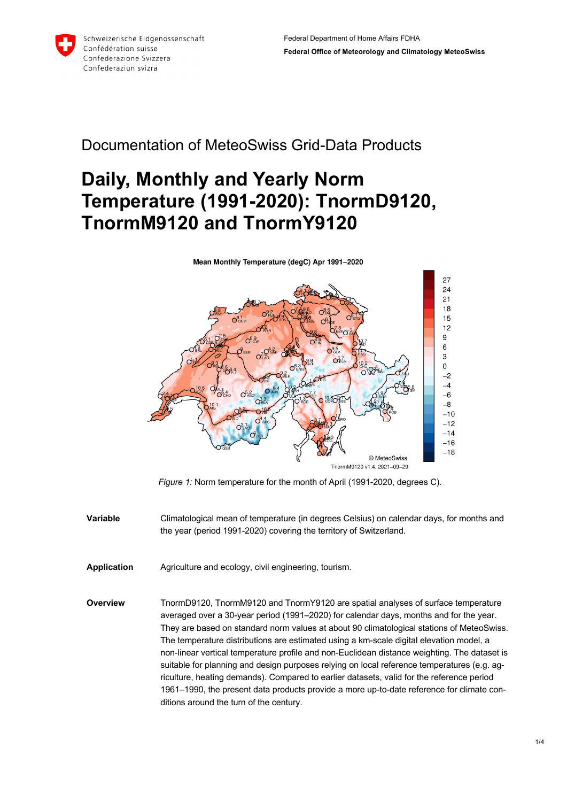

## Documentation of MeteoSwiss Grid-Data Products

# **Daily, Monthly and Yearly Norm Temperature (1991-2020): TnormD9120, TnormM9120 and TnormY9120**



*Figure 1:* Norm temperature for the month of April (1991-2020, degrees C).

- **Variable** Climatological mean of temperature (in degrees Celsius) on calendar days, for months and the year (period 1991-2020) covering the territory of Switzerland.
- **Application** Agriculture and ecology, civil engineering, tourism.
- **Overview** TnormD9120, TnormM9120 and TnormY9120 are spatial analyses of surface temperature averaged over a 30-year period (1991–2020) for calendar days, months and for the year. They are based on standard norm values at about 90 climatological stations of MeteoSwiss. The temperature distributions are estimated using a km-scale digital elevation model, a non-linear vertical temperature profile and non-Euclidean distance weighting. The dataset is suitable for planning and design purposes relying on local reference temperatures (e.g. agriculture, heating demands). Compared to earlier datasets, valid for the reference period 1961–1990, the present data products provide a more up-to-date reference for climate conditions around the turn of the century.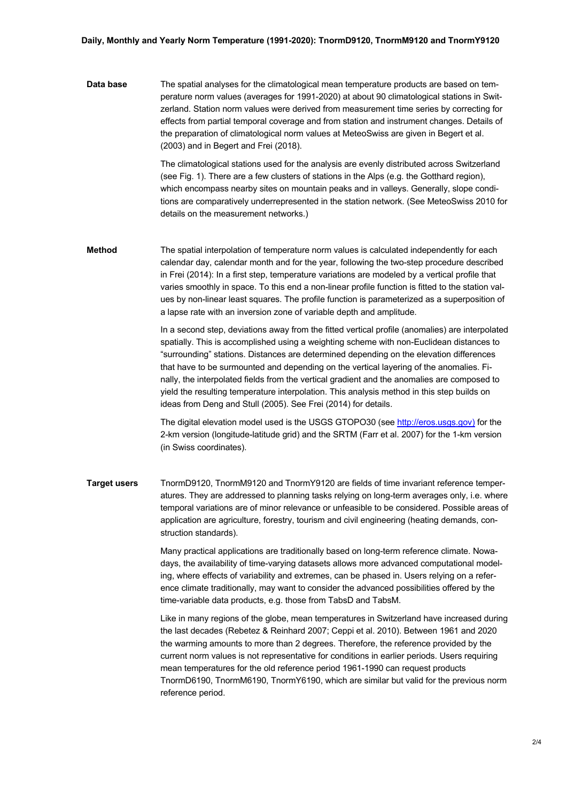#### **Daily, Monthly and Yearly Norm Temperature (1991-2020): TnormD9120, TnormM9120 and TnormY9120**

**Data base** The spatial analyses for the climatological mean temperature products are based on temperature norm values (averages for 1991-2020) at about 90 climatological stations in Switzerland. Station norm values were derived from measurement time series by correcting for effects from partial temporal coverage and from station and instrument changes. Details of the preparation of climatological norm values at MeteoSwiss are given in Begert et al. (2003) and in Begert and Frei (2018).

> The climatological stations used for the analysis are evenly distributed across Switzerland (see Fig. 1). There are a few clusters of stations in the Alps (e.g. the Gotthard region), which encompass nearby sites on mountain peaks and in valleys. Generally, slope conditions are comparatively underrepresented in the station network. (See MeteoSwiss 2010 for details on the measurement networks.)

**Method** The spatial interpolation of temperature norm values is calculated independently for each calendar day, calendar month and for the year, following the two-step procedure described in Frei (2014): In a first step, temperature variations are modeled by a vertical profile that varies smoothly in space. To this end a non-linear profile function is fitted to the station values by non-linear least squares. The profile function is parameterized as a superposition of a lapse rate with an inversion zone of variable depth and amplitude.

> In a second step, deviations away from the fitted vertical profile (anomalies) are interpolated spatially. This is accomplished using a weighting scheme with non-Euclidean distances to "surrounding" stations. Distances are determined depending on the elevation differences that have to be surmounted and depending on the vertical layering of the anomalies. Finally, the interpolated fields from the vertical gradient and the anomalies are composed to yield the resulting temperature interpolation. This analysis method in this step builds on ideas from Deng and Stull (2005). See Frei (2014) for details.

The digital elevation model used is the USGS GTOPO30 (see http://eros.usgs.gov) for the 2-km version (longitude-latitude grid) and the SRTM (Farr et al. 2007) for the 1-km version (in Swiss coordinates).

**Target users** TnormD9120, TnormM9120 and TnormY9120 are fields of time invariant reference temperatures. They are addressed to planning tasks relying on long-term averages only, i.e. where temporal variations are of minor relevance or unfeasible to be considered. Possible areas of application are agriculture, forestry, tourism and civil engineering (heating demands, construction standards).

> Many practical applications are traditionally based on long-term reference climate. Nowadays, the availability of time-varying datasets allows more advanced computational modeling, where effects of variability and extremes, can be phased in. Users relying on a reference climate traditionally, may want to consider the advanced possibilities offered by the time-variable data products, e.g. those from TabsD and TabsM.

Like in many regions of the globe, mean temperatures in Switzerland have increased during the last decades (Rebetez & Reinhard 2007; Ceppi et al. 2010). Between 1961 and 2020 the warming amounts to more than 2 degrees. Therefore, the reference provided by the current norm values is not representative for conditions in earlier periods. Users requiring mean temperatures for the old reference period 1961-1990 can request products TnormD6190, TnormM6190, TnormY6190, which are similar but valid for the previous norm reference period.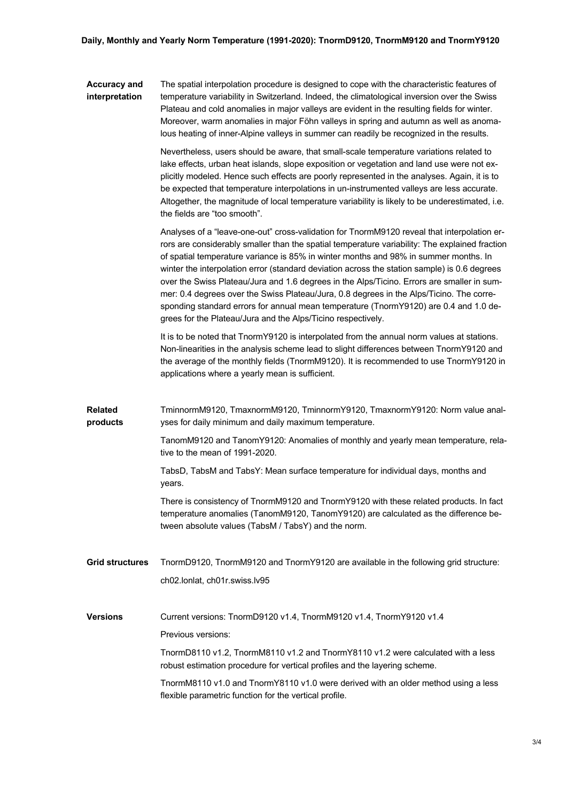#### **Accuracy and interpretation** The spatial interpolation procedure is designed to cope with the characteristic features of temperature variability in Switzerland. Indeed, the climatological inversion over the Swiss Plateau and cold anomalies in major valleys are evident in the resulting fields for winter. Moreover, warm anomalies in major Föhn valleys in spring and autumn as well as anomalous heating of inner-Alpine valleys in summer can readily be recognized in the results.

Nevertheless, users should be aware, that small-scale temperature variations related to lake effects, urban heat islands, slope exposition or vegetation and land use were not explicitly modeled. Hence such effects are poorly represented in the analyses. Again, it is to be expected that temperature interpolations in un-instrumented valleys are less accurate. Altogether, the magnitude of local temperature variability is likely to be underestimated, i.e. the fields are "too smooth".

Analyses of a "leave-one-out" cross-validation for TnormM9120 reveal that interpolation errors are considerably smaller than the spatial temperature variability: The explained fraction of spatial temperature variance is 85% in winter months and 98% in summer months. In winter the interpolation error (standard deviation across the station sample) is 0.6 degrees over the Swiss Plateau/Jura and 1.6 degrees in the Alps/Ticino. Errors are smaller in summer: 0.4 degrees over the Swiss Plateau/Jura, 0.8 degrees in the Alps/Ticino. The corresponding standard errors for annual mean temperature (TnormY9120) are 0.4 and 1.0 degrees for the Plateau/Jura and the Alps/Ticino respectively.

It is to be noted that TnormY9120 is interpolated from the annual norm values at stations. Non-linearities in the analysis scheme lead to slight differences between TnormY9120 and the average of the monthly fields (TnormM9120). It is recommended to use TnormY9120 in applications where a yearly mean is sufficient.

**Related products** TminnormM9120, TmaxnormM9120, TminnormY9120, TmaxnormY9120: Norm value analyses for daily minimum and daily maximum temperature.

> TanomM9120 and TanomY9120: Anomalies of monthly and yearly mean temperature, relative to the mean of 1991-2020.

TabsD, TabsM and TabsY: Mean surface temperature for individual days, months and years.

There is consistency of TnormM9120 and TnormY9120 with these related products. In fact temperature anomalies (TanomM9120, TanomY9120) are calculated as the difference between absolute values (TabsM / TabsY) and the norm.

**Grid structures** TnormD9120, TnormM9120 and TnormY9120 are available in the following grid structure: ch02.lonlat, ch01r.swiss.lv95

**Versions** Current versions: TnormD9120 v1.4, TnormM9120 v1.4, TnormY9120 v1.4

Previous versions:

TnormD8110 v1.2, TnormM8110 v1.2 and TnormY8110 v1.2 were calculated with a less robust estimation procedure for vertical profiles and the layering scheme.

TnormM8110 v1.0 and TnormY8110 v1.0 were derived with an older method using a less flexible parametric function for the vertical profile.